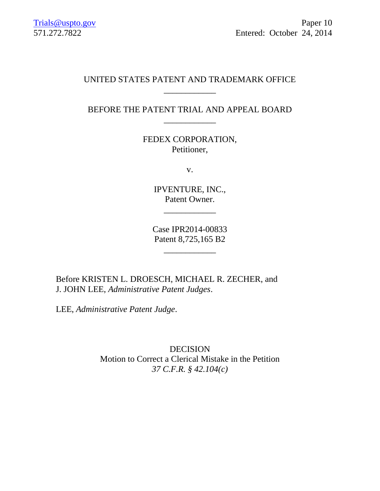# UNITED STATES PATENT AND TRADEMARK OFFICE \_\_\_\_\_\_\_\_\_\_\_\_

BEFORE THE PATENT TRIAL AND APPEAL BOARD \_\_\_\_\_\_\_\_\_\_\_\_

> FEDEX CORPORATION, Petitioner,

> > v.

IPVENTURE, INC., Patent Owner.

 $\overline{\phantom{a}}$  , where  $\overline{\phantom{a}}$ 

Case IPR2014-00833 Patent 8,725,165 B2

\_\_\_\_\_\_\_\_\_\_\_\_

Before KRISTEN L. DROESCH, MICHAEL R. ZECHER, and J. JOHN LEE, *Administrative Patent Judges*.

LEE, *Administrative Patent Judge*.

DECISION Motion to Correct a Clerical Mistake in the Petition *37 C.F.R. § 42.104(c)*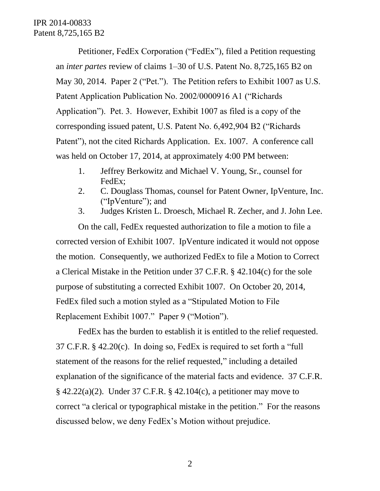Petitioner, FedEx Corporation ("FedEx"), filed a Petition requesting an *inter partes* review of claims 1–30 of U.S. Patent No. 8,725,165 B2 on May 30, 2014. Paper 2 ("Pet."). The Petition refers to Exhibit 1007 as U.S. Patent Application Publication No. 2002/0000916 A1 ("Richards Application"). Pet. 3. However, Exhibit 1007 as filed is a copy of the corresponding issued patent, U.S. Patent No. 6,492,904 B2 ("Richards Patent"), not the cited Richards Application. Ex. 1007. A conference call was held on October 17, 2014, at approximately 4:00 PM between:

- 1. Jeffrey Berkowitz and Michael V. Young, Sr., counsel for FedEx;
- 2. C. Douglass Thomas, counsel for Patent Owner, IpVenture, Inc. ("IpVenture"); and
- 3. Judges Kristen L. Droesch, Michael R. Zecher, and J. John Lee.

On the call, FedEx requested authorization to file a motion to file a corrected version of Exhibit 1007. IpVenture indicated it would not oppose the motion. Consequently, we authorized FedEx to file a Motion to Correct a Clerical Mistake in the Petition under 37 C.F.R. § 42.104(c) for the sole purpose of substituting a corrected Exhibit 1007. On October 20, 2014, FedEx filed such a motion styled as a "Stipulated Motion to File Replacement Exhibit 1007." Paper 9 ("Motion").

FedEx has the burden to establish it is entitled to the relief requested. 37 C.F.R. § 42.20(c). In doing so, FedEx is required to set forth a "full statement of the reasons for the relief requested," including a detailed explanation of the significance of the material facts and evidence. 37 C.F.R.  $§$  42.22(a)(2). Under 37 C.F.R. § 42.104(c), a petitioner may move to correct "a clerical or typographical mistake in the petition." For the reasons discussed below, we deny FedEx's Motion without prejudice.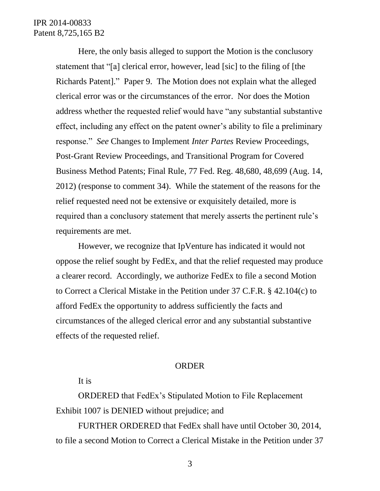## IPR 2014-00833 Patent 8,725,165 B2

Here, the only basis alleged to support the Motion is the conclusory statement that "[a] clerical error, however, lead [sic] to the filing of [the Richards Patent]." Paper 9. The Motion does not explain what the alleged clerical error was or the circumstances of the error. Nor does the Motion address whether the requested relief would have "any substantial substantive effect, including any effect on the patent owner's ability to file a preliminary response." *See* Changes to Implement *Inter Partes* Review Proceedings, Post-Grant Review Proceedings, and Transitional Program for Covered Business Method Patents; Final Rule, 77 Fed. Reg. 48,680, 48,699 (Aug. 14, 2012) (response to comment 34). While the statement of the reasons for the relief requested need not be extensive or exquisitely detailed, more is required than a conclusory statement that merely asserts the pertinent rule's requirements are met.

However, we recognize that IpVenture has indicated it would not oppose the relief sought by FedEx, and that the relief requested may produce a clearer record. Accordingly, we authorize FedEx to file a second Motion to Correct a Clerical Mistake in the Petition under 37 C.F.R. § 42.104(c) to afford FedEx the opportunity to address sufficiently the facts and circumstances of the alleged clerical error and any substantial substantive effects of the requested relief.

#### ORDER

### It is

ORDERED that FedEx's Stipulated Motion to File Replacement Exhibit 1007 is DENIED without prejudice; and

FURTHER ORDERED that FedEx shall have until October 30, 2014, to file a second Motion to Correct a Clerical Mistake in the Petition under 37

3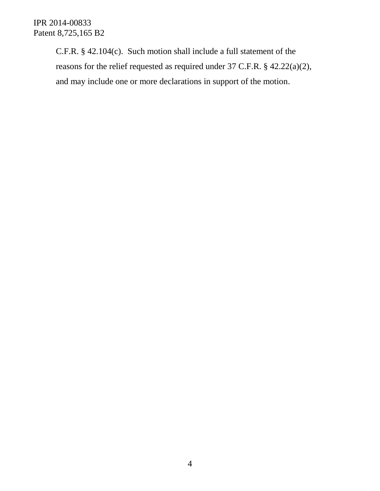IPR 2014-00833 Patent 8,725,165 B2

> C.F.R. § 42.104(c). Such motion shall include a full statement of the reasons for the relief requested as required under 37 C.F.R. § 42.22(a)(2), and may include one or more declarations in support of the motion.